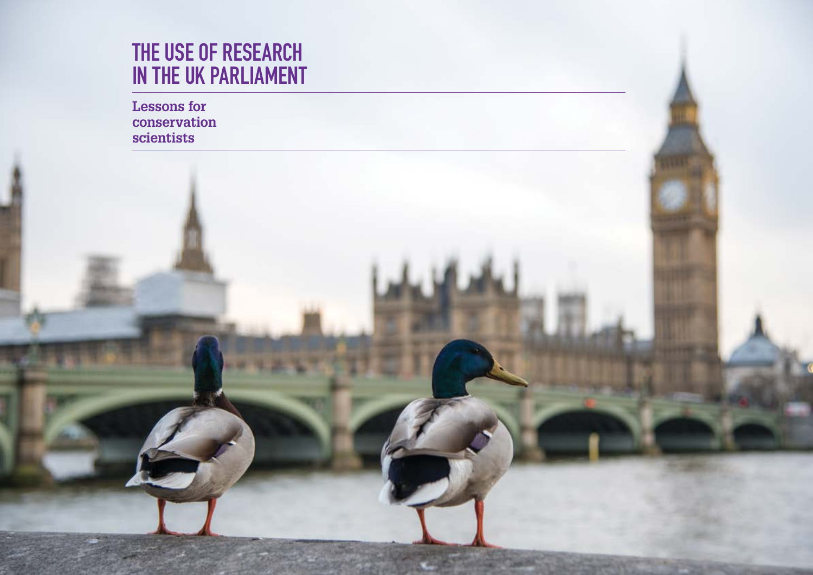# THE USE OF RESEARCH IN THE UK PARLIAMENT

**Lessons for conservation scientists**